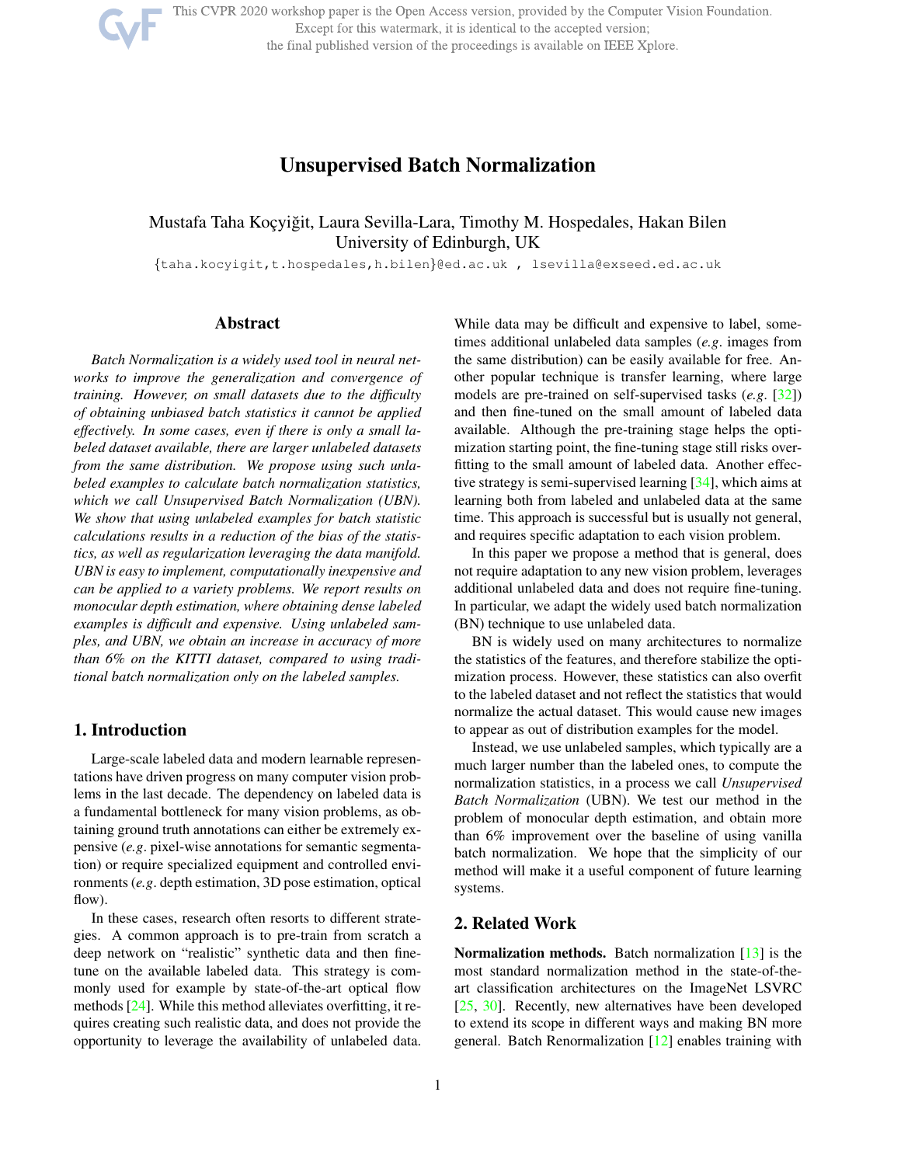This CVPR 2020 workshop paper is the Open Access version, provided by the Computer Vision Foundation.

Except for this watermark, it is identical to the accepted version;

the final published version of the proceedings is available on IEEE Xplore.

# Unsupervised Batch Normalization

## Mustafa Taha Koçyiğit, Laura Sevilla-Lara, Timothy M. Hospedales, Hakan Bilen University of Edinburgh, UK

{taha.kocyigit,t.hospedales,h.bilen}@ed.ac.uk , lsevilla@exseed.ed.ac.uk

## Abstract

*Batch Normalization is a widely used tool in neural networks to improve the generalization and convergence of training. However, on small datasets due to the difficulty of obtaining unbiased batch statistics it cannot be applied effectively. In some cases, even if there is only a small labeled dataset available, there are larger unlabeled datasets from the same distribution. We propose using such unlabeled examples to calculate batch normalization statistics, which we call Unsupervised Batch Normalization (UBN). We show that using unlabeled examples for batch statistic calculations results in a reduction of the bias of the statistics, as well as regularization leveraging the data manifold. UBN is easy to implement, computationally inexpensive and can be applied to a variety problems. We report results on monocular depth estimation, where obtaining dense labeled examples is difficult and expensive. Using unlabeled samples, and UBN, we obtain an increase in accuracy of more than 6% on the KITTI dataset, compared to using traditional batch normalization only on the labeled samples.*

### 1. Introduction

Large-scale labeled data and modern learnable representations have driven progress on many computer vision problems in the last decade. The dependency on labeled data is a fundamental bottleneck for many vision problems, as obtaining ground truth annotations can either be extremely expensive (*e.g*. pixel-wise annotations for semantic segmentation) or require specialized equipment and controlled environments (*e.g*. depth estimation, 3D pose estimation, optical flow).

In these cases, research often resorts to different strategies. A common approach is to pre-train from scratch a deep network on "realistic" synthetic data and then finetune on the available labeled data. This strategy is commonly used for example by state-of-the-art optical flow methods [24]. While this method alleviates overfitting, it requires creating such realistic data, and does not provide the opportunity to leverage the availability of unlabeled data.

While data may be difficult and expensive to label, sometimes additional unlabeled data samples (*e.g*. images from the same distribution) can be easily available for free. Another popular technique is transfer learning, where large models are pre-trained on self-supervised tasks (*e.g*. [32]) and then fine-tuned on the small amount of labeled data available. Although the pre-training stage helps the optimization starting point, the fine-tuning stage still risks overfitting to the small amount of labeled data. Another effective strategy is semi-supervised learning [34], which aims at learning both from labeled and unlabeled data at the same time. This approach is successful but is usually not general, and requires specific adaptation to each vision problem.

In this paper we propose a method that is general, does not require adaptation to any new vision problem, leverages additional unlabeled data and does not require fine-tuning. In particular, we adapt the widely used batch normalization (BN) technique to use unlabeled data.

BN is widely used on many architectures to normalize the statistics of the features, and therefore stabilize the optimization process. However, these statistics can also overfit to the labeled dataset and not reflect the statistics that would normalize the actual dataset. This would cause new images to appear as out of distribution examples for the model.

Instead, we use unlabeled samples, which typically are a much larger number than the labeled ones, to compute the normalization statistics, in a process we call *Unsupervised Batch Normalization* (UBN). We test our method in the problem of monocular depth estimation, and obtain more than 6% improvement over the baseline of using vanilla batch normalization. We hope that the simplicity of our method will make it a useful component of future learning systems.

## 2. Related Work

Normalization methods. Batch normalization [13] is the most standard normalization method in the state-of-theart classification architectures on the ImageNet LSVRC [25, 30]. Recently, new alternatives have been developed to extend its scope in different ways and making BN more general. Batch Renormalization [12] enables training with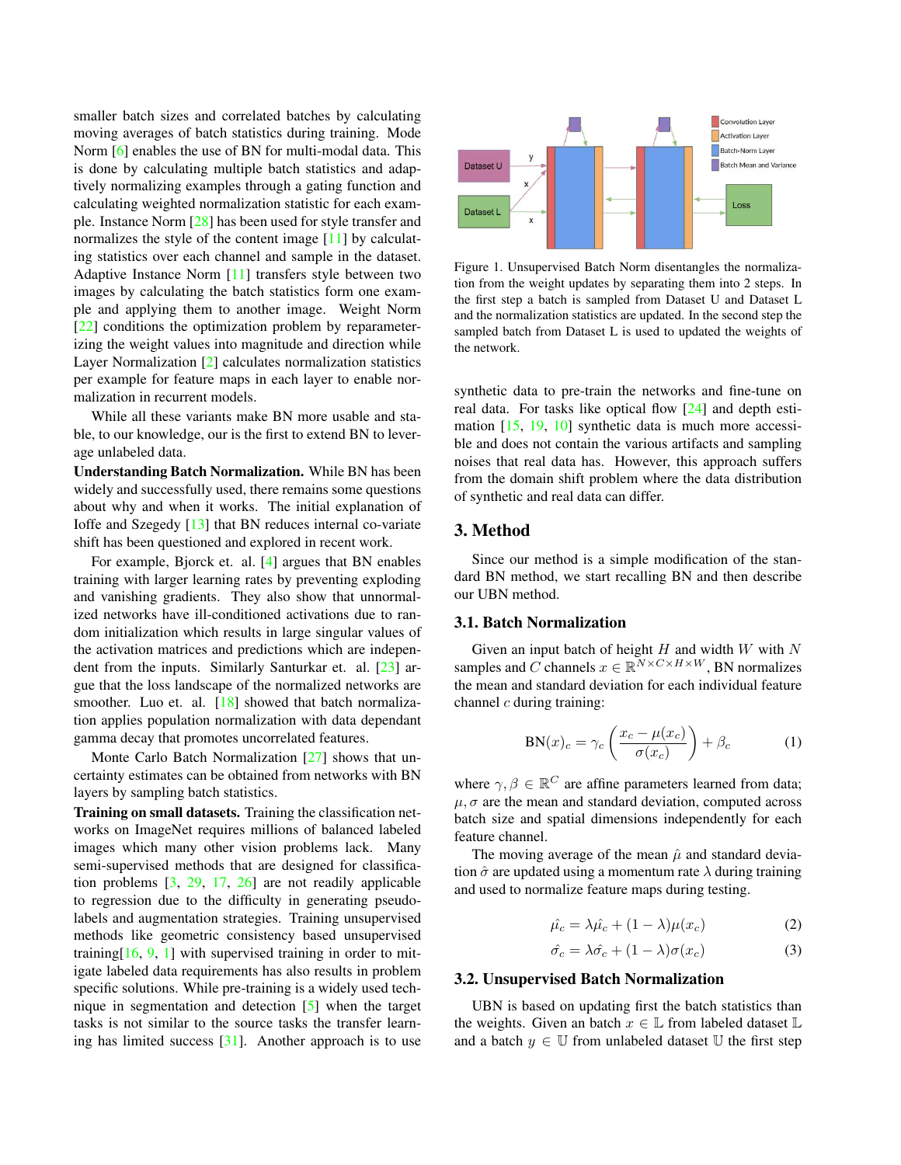smaller batch sizes and correlated batches by calculating moving averages of batch statistics during training. Mode Norm [6] enables the use of BN for multi-modal data. This is done by calculating multiple batch statistics and adaptively normalizing examples through a gating function and calculating weighted normalization statistic for each example. Instance Norm [28] has been used for style transfer and normalizes the style of the content image [11] by calculating statistics over each channel and sample in the dataset. Adaptive Instance Norm [11] transfers style between two images by calculating the batch statistics form one example and applying them to another image. Weight Norm [22] conditions the optimization problem by reparameterizing the weight values into magnitude and direction while Layer Normalization [2] calculates normalization statistics per example for feature maps in each layer to enable normalization in recurrent models.

While all these variants make BN more usable and stable, to our knowledge, our is the first to extend BN to leverage unlabeled data.

Understanding Batch Normalization. While BN has been widely and successfully used, there remains some questions about why and when it works. The initial explanation of Ioffe and Szegedy [13] that BN reduces internal co-variate shift has been questioned and explored in recent work.

For example, Bjorck et. al. [4] argues that BN enables training with larger learning rates by preventing exploding and vanishing gradients. They also show that unnormalized networks have ill-conditioned activations due to random initialization which results in large singular values of the activation matrices and predictions which are independent from the inputs. Similarly Santurkar et. al. [23] argue that the loss landscape of the normalized networks are smoother. Luo et. al. [18] showed that batch normalization applies population normalization with data dependant gamma decay that promotes uncorrelated features.

Monte Carlo Batch Normalization [27] shows that uncertainty estimates can be obtained from networks with BN layers by sampling batch statistics.

Training on small datasets. Training the classification networks on ImageNet requires millions of balanced labeled images which many other vision problems lack. Many semi-supervised methods that are designed for classification problems [3, 29, 17, 26] are not readily applicable to regression due to the difficulty in generating pseudolabels and augmentation strategies. Training unsupervised methods like geometric consistency based unsupervised training  $[16, 9, 1]$  with supervised training in order to mitigate labeled data requirements has also results in problem specific solutions. While pre-training is a widely used technique in segmentation and detection [5] when the target tasks is not similar to the source tasks the transfer learning has limited success [31]. Another approach is to use



Figure 1. Unsupervised Batch Norm disentangles the normalization from the weight updates by separating them into 2 steps. In the first step a batch is sampled from Dataset U and Dataset L and the normalization statistics are updated. In the second step the sampled batch from Dataset L is used to updated the weights of the network.

synthetic data to pre-train the networks and fine-tune on real data. For tasks like optical flow [24] and depth estimation [15, 19, 10] synthetic data is much more accessible and does not contain the various artifacts and sampling noises that real data has. However, this approach suffers from the domain shift problem where the data distribution of synthetic and real data can differ.

#### 3. Method

Since our method is a simple modification of the standard BN method, we start recalling BN and then describe our UBN method.

#### 3.1. Batch Normalization

Given an input batch of height  $H$  and width  $W$  with  $N$ samples and C channels  $x \in \mathbb{R}^{N \times C \times H \times W}$ , BN normalizes the mean and standard deviation for each individual feature channel  $c$  during training:

$$
BN(x)_c = \gamma_c \left( \frac{x_c - \mu(x_c)}{\sigma(x_c)} \right) + \beta_c \tag{1}
$$

where  $\gamma, \beta \in \mathbb{R}^C$  are affine parameters learned from data;  $\mu$ ,  $\sigma$  are the mean and standard deviation, computed across batch size and spatial dimensions independently for each feature channel.

The moving average of the mean  $\hat{\mu}$  and standard deviation  $\hat{\sigma}$  are updated using a momentum rate  $\lambda$  during training and used to normalize feature maps during testing.

$$
\hat{\mu_c} = \lambda \hat{\mu_c} + (1 - \lambda)\mu(x_c) \tag{2}
$$

$$
\hat{\sigma_c} = \lambda \hat{\sigma_c} + (1 - \lambda)\sigma(x_c) \tag{3}
$$

#### 3.2. Unsupervised Batch Normalization

UBN is based on updating first the batch statistics than the weights. Given an batch  $x \in \mathbb{L}$  from labeled dataset  $\mathbb{L}$ and a batch  $y \in \mathbb{U}$  from unlabeled dataset  $\mathbb{U}$  the first step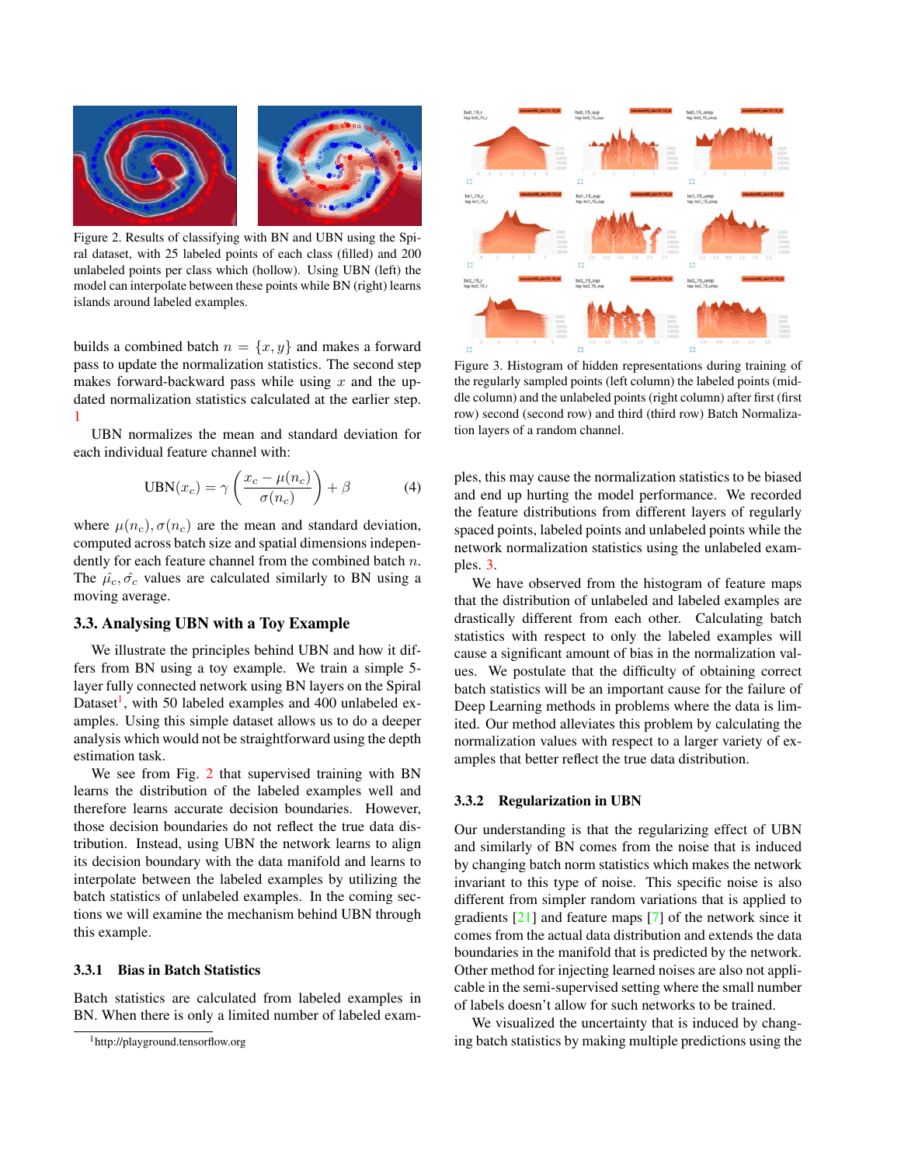

Figure 2. Results of classifying with BN and UBN using the Spiral dataset, with 25 labeled points of each class (filled) and 200 unlabeled points per class which (hollow). Using UBN (left) the model can interpolate between these points while BN (right) learns islands around labeled examples.

builds a combined batch  $n = \{x, y\}$  and makes a forward pass to update the normalization statistics. The second step makes forward-backward pass while using  $x$  and the updated normalization statistics calculated at the earlier step. 1

UBN normalizes the mean and standard deviation for each individual feature channel with:

$$
UBN(x_c) = \gamma \left( \frac{x_c - \mu(n_c)}{\sigma(n_c)} \right) + \beta \tag{4}
$$

where  $\mu(n_c)$ ,  $\sigma(n_c)$  are the mean and standard deviation, computed across batch size and spatial dimensions independently for each feature channel from the combined batch  $n$ . The  $\hat{\mu}_c, \hat{\sigma}_c$  values are calculated similarly to BN using a moving average.

#### 3.3. Analysing UBN with a Toy Example

We illustrate the principles behind UBN and how it differs from BN using a toy example. We train a simple 5 layer fully connected network using BN layers on the Spiral Dataset<sup>1</sup>, with 50 labeled examples and 400 unlabeled examples. Using this simple dataset allows us to do a deeper analysis which would not be straightforward using the depth estimation task.

We see from Fig. 2 that supervised training with BN learns the distribution of the labeled examples well and therefore learns accurate decision boundaries. However, those decision boundaries do not reflect the true data distribution. Instead, using UBN the network learns to align its decision boundary with the data manifold and learns to interpolate between the labeled examples by utilizing the batch statistics of unlabeled examples. In the coming sections we will examine the mechanism behind UBN through this example.

#### 3.3.1 Bias in Batch Statistics

Batch statistics are calculated from labeled examples in BN. When there is only a limited number of labeled exam-



Figure 3. Histogram of hidden representations during training of the regularly sampled points (left column) the labeled points (middle column) and the unlabeled points (right column) after first (first row) second (second row) and third (third row) Batch Normalization layers of a random channel.

ples, this may cause the normalization statistics to be biased and end up hurting the model performance. We recorded the feature distributions from different layers of regularly spaced points, labeled points and unlabeled points while the network normalization statistics using the unlabeled examples. 3.

We have observed from the histogram of feature maps that the distribution of unlabeled and labeled examples are drastically different from each other. Calculating batch statistics with respect to only the labeled examples will cause a significant amount of bias in the normalization values. We postulate that the difficulty of obtaining correct batch statistics will be an important cause for the failure of Deep Learning methods in problems where the data is limited. Our method alleviates this problem by calculating the normalization values with respect to a larger variety of examples that better reflect the true data distribution.

#### 3.3.2 Regularization in UBN

Our understanding is that the regularizing effect of UBN and similarly of BN comes from the noise that is induced by changing batch norm statistics which makes the network invariant to this type of noise. This specific noise is also different from simpler random variations that is applied to gradients [21] and feature maps [7] of the network since it comes from the actual data distribution and extends the data boundaries in the manifold that is predicted by the network. Other method for injecting learned noises are also not applicable in the semi-supervised setting where the small number of labels doesn't allow for such networks to be trained.

We visualized the uncertainty that is induced by changing batch statistics by making multiple predictions using the

<sup>1</sup>http://playground.tensorflow.org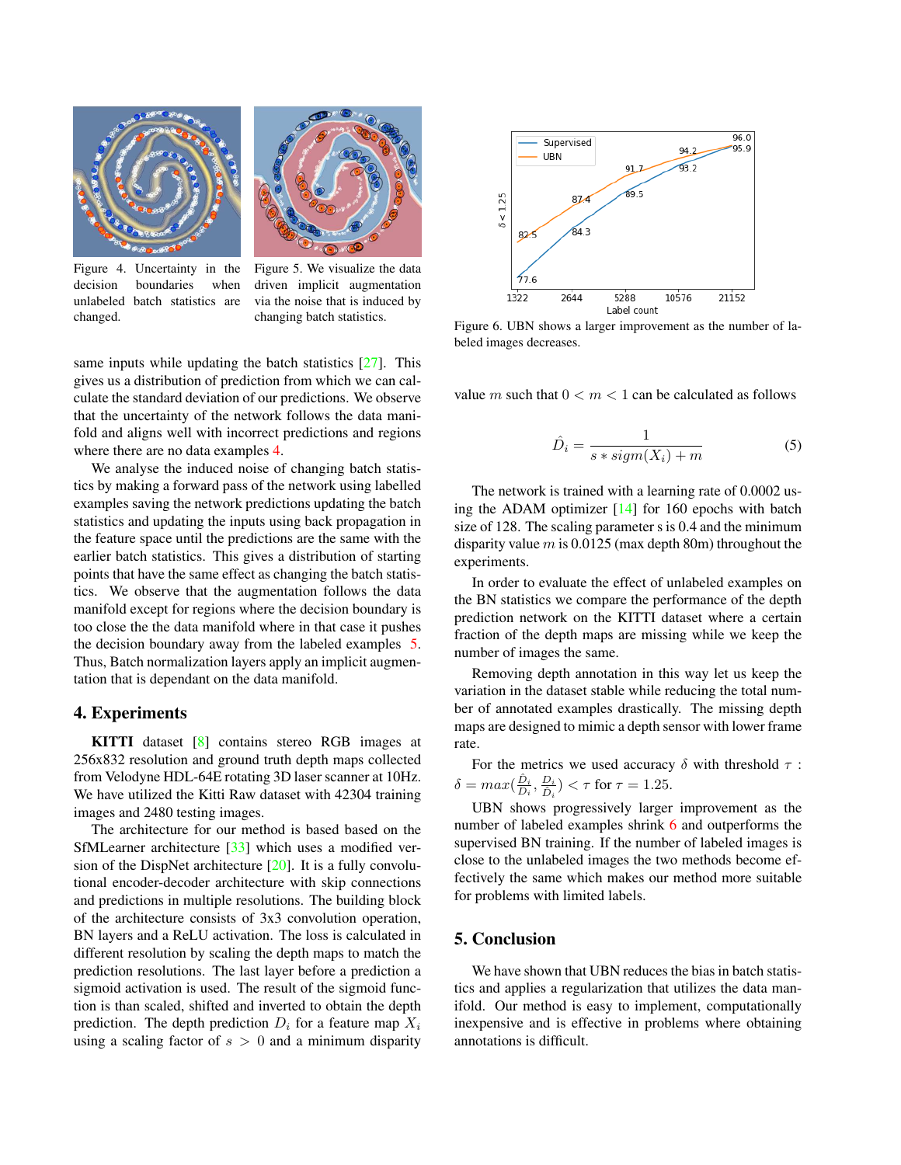



Figure 4. Uncertainty in the decision boundaries when unlabeled batch statistics are changed.

Figure 5. We visualize the data driven implicit augmentation via the noise that is induced by changing batch statistics.

same inputs while updating the batch statistics  $[27]$ . This gives us a distribution of prediction from which we can calculate the standard deviation of our predictions. We observe that the uncertainty of the network follows the data manifold and aligns well with incorrect predictions and regions where there are no data examples 4.

We analyse the induced noise of changing batch statistics by making a forward pass of the network using labelled examples saving the network predictions updating the batch statistics and updating the inputs using back propagation in the feature space until the predictions are the same with the earlier batch statistics. This gives a distribution of starting points that have the same effect as changing the batch statistics. We observe that the augmentation follows the data manifold except for regions where the decision boundary is too close the the data manifold where in that case it pushes the decision boundary away from the labeled examples 5. Thus, Batch normalization layers apply an implicit augmentation that is dependant on the data manifold.

#### 4. Experiments

KITTI dataset [8] contains stereo RGB images at 256x832 resolution and ground truth depth maps collected from Velodyne HDL-64E rotating 3D laser scanner at 10Hz. We have utilized the Kitti Raw dataset with 42304 training images and 2480 testing images.

The architecture for our method is based based on the SfMLearner architecture [33] which uses a modified version of the DispNet architecture  $[20]$ . It is a fully convolutional encoder-decoder architecture with skip connections and predictions in multiple resolutions. The building block of the architecture consists of 3x3 convolution operation, BN layers and a ReLU activation. The loss is calculated in different resolution by scaling the depth maps to match the prediction resolutions. The last layer before a prediction a sigmoid activation is used. The result of the sigmoid function is than scaled, shifted and inverted to obtain the depth prediction. The depth prediction  $D_i$  for a feature map  $X_i$ using a scaling factor of  $s > 0$  and a minimum disparity



Figure 6. UBN shows a larger improvement as the number of labeled images decreases.

value m such that  $0 < m < 1$  can be calculated as follows

$$
\hat{D}_i = \frac{1}{s * sign(X_i) + m} \tag{5}
$$

The network is trained with a learning rate of 0.0002 using the ADAM optimizer [14] for 160 epochs with batch size of 128. The scaling parameter s is 0.4 and the minimum disparity value  $m$  is 0.0125 (max depth 80m) throughout the experiments.

In order to evaluate the effect of unlabeled examples on the BN statistics we compare the performance of the depth prediction network on the KITTI dataset where a certain fraction of the depth maps are missing while we keep the number of images the same.

Removing depth annotation in this way let us keep the variation in the dataset stable while reducing the total number of annotated examples drastically. The missing depth maps are designed to mimic a depth sensor with lower frame rate.

For the metrics we used accuracy  $\delta$  with threshold  $\tau$  :  $\delta = max(\frac{\hat{D}_i}{D_i}, \frac{D_i}{\hat{D}_i}) < \tau$  for  $\tau = 1.25$ .

UBN shows progressively larger improvement as the number of labeled examples shrink 6 and outperforms the supervised BN training. If the number of labeled images is close to the unlabeled images the two methods become effectively the same which makes our method more suitable for problems with limited labels.

### 5. Conclusion

We have shown that UBN reduces the bias in batch statistics and applies a regularization that utilizes the data manifold. Our method is easy to implement, computationally inexpensive and is effective in problems where obtaining annotations is difficult.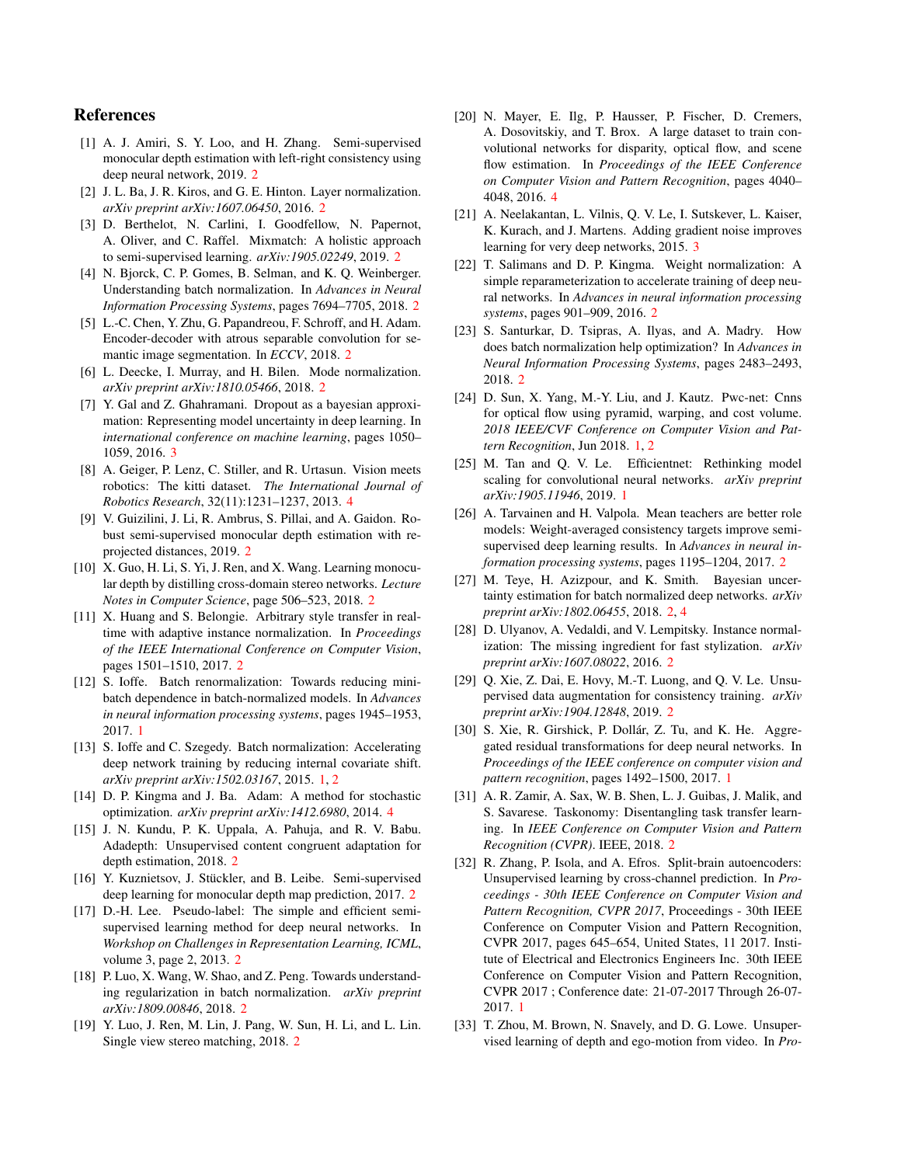### References

- [1] A. J. Amiri, S. Y. Loo, and H. Zhang. Semi-supervised monocular depth estimation with left-right consistency using deep neural network, 2019. 2
- [2] J. L. Ba, J. R. Kiros, and G. E. Hinton. Layer normalization. *arXiv preprint arXiv:1607.06450*, 2016. 2
- [3] D. Berthelot, N. Carlini, I. Goodfellow, N. Papernot, A. Oliver, and C. Raffel. Mixmatch: A holistic approach to semi-supervised learning. *arXiv:1905.02249*, 2019. 2
- [4] N. Bjorck, C. P. Gomes, B. Selman, and K. Q. Weinberger. Understanding batch normalization. In *Advances in Neural Information Processing Systems*, pages 7694–7705, 2018. 2
- [5] L.-C. Chen, Y. Zhu, G. Papandreou, F. Schroff, and H. Adam. Encoder-decoder with atrous separable convolution for semantic image segmentation. In *ECCV*, 2018. 2
- [6] L. Deecke, I. Murray, and H. Bilen. Mode normalization. *arXiv preprint arXiv:1810.05466*, 2018. 2
- [7] Y. Gal and Z. Ghahramani. Dropout as a bayesian approximation: Representing model uncertainty in deep learning. In *international conference on machine learning*, pages 1050– 1059, 2016. 3
- [8] A. Geiger, P. Lenz, C. Stiller, and R. Urtasun. Vision meets robotics: The kitti dataset. *The International Journal of Robotics Research*, 32(11):1231–1237, 2013. 4
- [9] V. Guizilini, J. Li, R. Ambrus, S. Pillai, and A. Gaidon. Robust semi-supervised monocular depth estimation with reprojected distances, 2019. 2
- [10] X. Guo, H. Li, S. Yi, J. Ren, and X. Wang. Learning monocular depth by distilling cross-domain stereo networks. *Lecture Notes in Computer Science*, page 506–523, 2018. 2
- [11] X. Huang and S. Belongie. Arbitrary style transfer in realtime with adaptive instance normalization. In *Proceedings of the IEEE International Conference on Computer Vision*, pages 1501–1510, 2017. 2
- [12] S. Ioffe. Batch renormalization: Towards reducing minibatch dependence in batch-normalized models. In *Advances in neural information processing systems*, pages 1945–1953, 2017. 1
- [13] S. Ioffe and C. Szegedy. Batch normalization: Accelerating deep network training by reducing internal covariate shift. *arXiv preprint arXiv:1502.03167*, 2015. 1, 2
- [14] D. P. Kingma and J. Ba. Adam: A method for stochastic optimization. *arXiv preprint arXiv:1412.6980*, 2014. 4
- [15] J. N. Kundu, P. K. Uppala, A. Pahuja, and R. V. Babu. Adadepth: Unsupervised content congruent adaptation for depth estimation, 2018. 2
- [16] Y. Kuznietsov, J. Stückler, and B. Leibe. Semi-supervised deep learning for monocular depth map prediction, 2017. 2
- [17] D.-H. Lee. Pseudo-label: The simple and efficient semisupervised learning method for deep neural networks. In *Workshop on Challenges in Representation Learning, ICML*, volume 3, page 2, 2013. 2
- [18] P. Luo, X. Wang, W. Shao, and Z. Peng. Towards understanding regularization in batch normalization. *arXiv preprint arXiv:1809.00846*, 2018. 2
- [19] Y. Luo, J. Ren, M. Lin, J. Pang, W. Sun, H. Li, and L. Lin. Single view stereo matching, 2018. 2
- [20] N. Mayer, E. Ilg, P. Hausser, P. Fischer, D. Cremers, A. Dosovitskiy, and T. Brox. A large dataset to train convolutional networks for disparity, optical flow, and scene flow estimation. In *Proceedings of the IEEE Conference on Computer Vision and Pattern Recognition*, pages 4040– 4048, 2016. 4
- [21] A. Neelakantan, L. Vilnis, Q. V. Le, I. Sutskever, L. Kaiser, K. Kurach, and J. Martens. Adding gradient noise improves learning for very deep networks, 2015. 3
- [22] T. Salimans and D. P. Kingma. Weight normalization: A simple reparameterization to accelerate training of deep neural networks. In *Advances in neural information processing systems*, pages 901–909, 2016. 2
- [23] S. Santurkar, D. Tsipras, A. Ilyas, and A. Madry. How does batch normalization help optimization? In *Advances in Neural Information Processing Systems*, pages 2483–2493, 2018. 2
- [24] D. Sun, X. Yang, M.-Y. Liu, and J. Kautz. Pwc-net: Cnns for optical flow using pyramid, warping, and cost volume. *2018 IEEE/CVF Conference on Computer Vision and Pattern Recognition*, Jun 2018. 1, 2
- [25] M. Tan and Q. V. Le. Efficientnet: Rethinking model scaling for convolutional neural networks. *arXiv preprint arXiv:1905.11946*, 2019. 1
- [26] A. Tarvainen and H. Valpola. Mean teachers are better role models: Weight-averaged consistency targets improve semisupervised deep learning results. In *Advances in neural information processing systems*, pages 1195–1204, 2017. 2
- [27] M. Teye, H. Azizpour, and K. Smith. Bayesian uncertainty estimation for batch normalized deep networks. *arXiv preprint arXiv:1802.06455*, 2018. 2, 4
- [28] D. Ulyanov, A. Vedaldi, and V. Lempitsky. Instance normalization: The missing ingredient for fast stylization. *arXiv preprint arXiv:1607.08022*, 2016. 2
- [29] Q. Xie, Z. Dai, E. Hovy, M.-T. Luong, and Q. V. Le. Unsupervised data augmentation for consistency training. *arXiv preprint arXiv:1904.12848*, 2019. 2
- [30] S. Xie, R. Girshick, P. Dollár, Z. Tu, and K. He. Aggregated residual transformations for deep neural networks. In *Proceedings of the IEEE conference on computer vision and pattern recognition*, pages 1492–1500, 2017. 1
- [31] A. R. Zamir, A. Sax, W. B. Shen, L. J. Guibas, J. Malik, and S. Savarese. Taskonomy: Disentangling task transfer learning. In *IEEE Conference on Computer Vision and Pattern Recognition (CVPR)*. IEEE, 2018. 2
- [32] R. Zhang, P. Isola, and A. Efros. Split-brain autoencoders: Unsupervised learning by cross-channel prediction. In *Proceedings - 30th IEEE Conference on Computer Vision and Pattern Recognition, CVPR 2017*, Proceedings - 30th IEEE Conference on Computer Vision and Pattern Recognition, CVPR 2017, pages 645–654, United States, 11 2017. Institute of Electrical and Electronics Engineers Inc. 30th IEEE Conference on Computer Vision and Pattern Recognition, CVPR 2017 ; Conference date: 21-07-2017 Through 26-07- 2017. 1
- [33] T. Zhou, M. Brown, N. Snavely, and D. G. Lowe. Unsupervised learning of depth and ego-motion from video. In *Pro-*